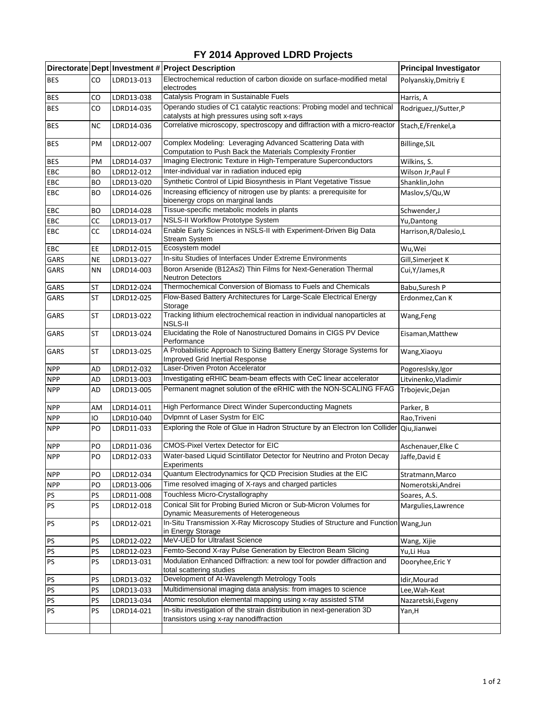## **FY 2014 Approved LDRD Projects**

|            |           |            | Directorate Dept Investment # Project Description                                                                        | <b>Principal Investigator</b> |
|------------|-----------|------------|--------------------------------------------------------------------------------------------------------------------------|-------------------------------|
| <b>BES</b> | CO        | LDRD13-013 | Electrochemical reduction of carbon dioxide on surface-modified metal<br>electrodes                                      | Polyanskiy, Dmitriy E         |
| <b>BES</b> | CO        | LDRD13-038 | Catalysis Program in Sustainable Fuels                                                                                   | Harris, A                     |
| <b>BES</b> | CO        | LDRD14-035 | Operando studies of C1 catalytic reactions: Probing model and technical<br>catalysts at high pressures using soft x-rays | Rodriguez, J/Sutter, P        |
| <b>BES</b> | ΝC        | LDRD14-036 | Correlative microscopy, spectroscopy and diffraction with a micro-reactor                                                | Stach, E/Frenkel, a           |
| <b>BES</b> | PM        | LDRD12-007 | Complex Modeling: Leveraging Advanced Scattering Data with<br>Computation to Push Back the Materials Complexity Frontier | Billinge, SJL                 |
| <b>BES</b> | PM        | LDRD14-037 | Imaging Electronic Texture in High-Temperature Superconductors                                                           | Wilkins, S.                   |
| EBC        | BO        | LDRD12-012 | Inter-individual var in radiation induced epig                                                                           | Wilson Jr, Paul F             |
| EBC        | BO        | LDRD13-020 | Synthetic Control of Lipid Biosynthesis in Plant Vegetative Tissue                                                       | Shanklin, John                |
| EBC        | BO        | LDRD14-026 | Increasing efficiency of nitrogen use by plants: a prerequisite for<br>bioenergy crops on marginal lands                 | Maslov, S/Qu, W               |
| EBC        | <b>BO</b> | LDRD14-028 | Tissue-specific metabolic models in plants                                                                               | Schwender,J                   |
| EBC        | СC        | LDRD13-017 | <b>NSLS-II Workflow Prototype System</b>                                                                                 | Yu, Dantong                   |
| EBC        | СC        | LDRD14-024 | Enable Early Sciences in NSLS-II with Experiment-Driven Big Data<br><b>Stream System</b>                                 | Harrison, R/Dalesio, L        |
| EBC        | EE        | LDRD12-015 | Ecosystem model                                                                                                          | Wu, Wei                       |
| GARS       | <b>NE</b> | LDRD13-027 | In-situ Studies of Interfaces Under Extreme Environments                                                                 | Gill, Simerjeet K             |
| GARS       | <b>NN</b> | LDRD14-003 | Boron Arsenide (B12As2) Thin Films for Next-Generation Thermal<br>Neutron Detectors                                      | Cui, Y/James, R               |
| GARS       | <b>ST</b> | LDRD12-024 | Thermochemical Conversion of Biomass to Fuels and Chemicals                                                              | Babu, Suresh P                |
| GARS       | <b>ST</b> | LDRD12-025 | Flow-Based Battery Architectures for Large-Scale Electrical Energy<br>Storage                                            | Erdonmez, Can K               |
| GARS       | ST        | LDRD13-022 | Tracking lithium electrochemical reaction in individual nanoparticles at<br>NSLS-II                                      | Wang, Feng                    |
| GARS       | ST        | LDRD13-024 | Elucidating the Role of Nanostructured Domains in CIGS PV Device<br>Performance                                          | Eisaman, Matthew              |
| GARS       | ST        | LDRD13-025 | A Probabilistic Approach to Sizing Battery Energy Storage Systems for<br>Improved Grid Inertial Response                 | Wang, Xiaoyu                  |
| <b>NPP</b> | AD        | LDRD12-032 | Laser-Driven Proton Accelerator                                                                                          | Pogoreslsky, Igor             |
| <b>NPP</b> | AD        | LDRD13-003 | Investigating eRHIC beam-beam effects with CeC linear accelerator                                                        | Litvinenko, Vladimir          |
| <b>NPP</b> | AD        | LDRD13-005 | Permanent magnet solution of the eRHIC with the NON-SCALING FFAG                                                         | Trbojevic, Dejan              |
| <b>NPP</b> | AM        | LDRD14-011 | High Performance Direct Winder Superconducting Magnets                                                                   | Parker, B                     |
| <b>NPP</b> | IO        | LDRD10-040 | Dvlpmnt of Laser Systm for EIC                                                                                           | Rao, Triveni                  |
| <b>NPP</b> | PO        | LDRD11-033 | Exploring the Role of Glue in Hadron Structure by an Electron Ion Collider                                               | Qiu, Jianwei                  |
| <b>NPP</b> | PO        | LDRD11-036 | <b>CMOS-Pixel Vertex Detector for EIC</b>                                                                                | Aschenauer, Elke C            |
| <b>NPP</b> | PO        | LDRD12-033 | Water-based Liquid Scintillator Detector for Neutrino and Proton Decay<br>⊏xperımenτs                                    | Jaffe, David E                |
| <b>NPP</b> | PO        | LDRD12-034 | Quantum Electrodynamics for QCD Precision Studies at the EIC                                                             | Stratmann, Marco              |
| <b>NPP</b> | PO        | LDRD13-006 | Time resolved imaging of X-rays and charged particles                                                                    | Nomerotski, Andrei            |
| PS         | PS        | LDRD11-008 | Touchless Micro-Crystallography                                                                                          | Soares, A.S.                  |
| PS         | PS        | LDRD12-018 | Conical Slit for Probing Buried Micron or Sub-Micron Volumes for<br>Dynamic Measurements of Heterogeneous                | Margulies, Lawrence           |
| PS         | PS        | LDRD12-021 | In-Situ Transmission X-Ray Microscopy Studies of Structure and Function Wang, Jun<br>in Energy Storage                   |                               |
| PS         | PS        | LDRD12-022 | MeV-UED for Ultrafast Science                                                                                            | Wang, Xijie                   |
| PS         | PS        | LDRD12-023 | Femto-Second X-ray Pulse Generation by Electron Beam Slicing                                                             | Yu,Li Hua                     |
| <b>PS</b>  | PS        | LDRD13-031 | Modulation Enhanced Diffraction: a new tool for powder diffraction and<br>total scattering studies                       | Dooryhee, Eric Y              |
| PS         | PS        | LDRD13-032 | Development of At-Wavelength Metrology Tools                                                                             | Idir, Mourad                  |
| PS         | PS        | LDRD13-033 | Multidimensional imaging data analysis: from images to science                                                           | Lee, Wah-Keat                 |
| PS         | PS        | LDRD13-034 | Atomic resolution elemental mapping using x-ray assisted STM                                                             | Nazaretski, Evgeny            |
| PS         | PS        | LDRD14-021 | In-situ investigation of the strain distribution in next-generation 3D<br>transistors using x-ray nanodiffraction        | Yan, H                        |
|            |           |            |                                                                                                                          |                               |